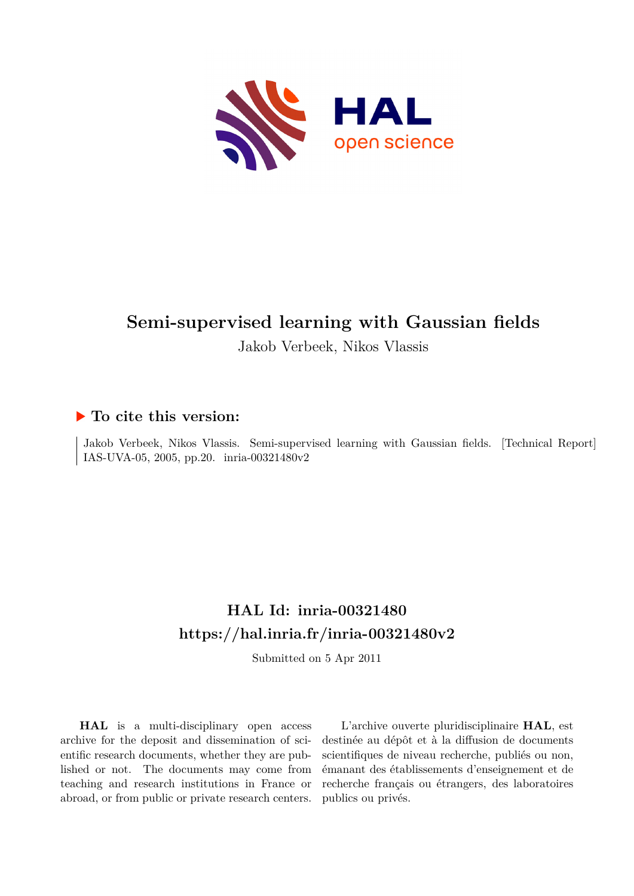

# **Semi-supervised learning with Gaussian fields**

Jakob Verbeek, Nikos Vlassis

## **To cite this version:**

Jakob Verbeek, Nikos Vlassis. Semi-supervised learning with Gaussian fields. [Technical Report] IAS-UVA-05, 2005, pp.20. inria-00321480v2

# **HAL Id: inria-00321480 <https://hal.inria.fr/inria-00321480v2>**

Submitted on 5 Apr 2011

**HAL** is a multi-disciplinary open access archive for the deposit and dissemination of scientific research documents, whether they are published or not. The documents may come from teaching and research institutions in France or abroad, or from public or private research centers.

L'archive ouverte pluridisciplinaire **HAL**, est destinée au dépôt et à la diffusion de documents scientifiques de niveau recherche, publiés ou non, émanant des établissements d'enseignement et de recherche français ou étrangers, des laboratoires publics ou privés.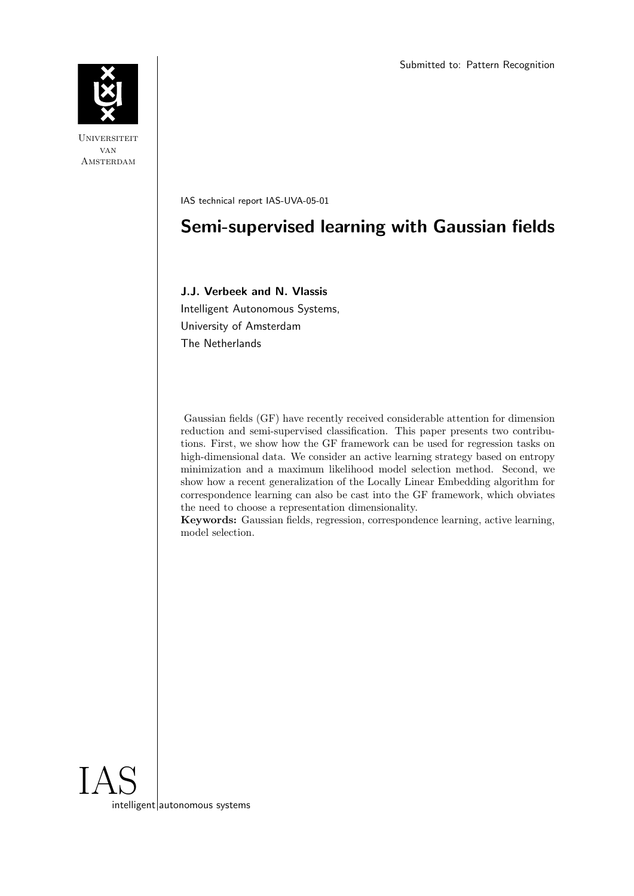

**UNIVERSITEIT** van **AMSTERDAM** 

IAS technical report IAS-UVA-05-01

## Semi-supervised learning with Gaussian fields

### J.J. Verbeek and N. Vlassis

Intelligent Autonomous Systems, University of Amsterdam The Netherlands

Gaussian fields (GF) have recently received considerable attention for dimension reduction and semi-supervised classification. This paper presents two contributions. First, we show how the GF framework can be used for regression tasks on high-dimensional data. We consider an active learning strategy based on entropy minimization and a maximum likelihood model selection method. Second, we show how a recent generalization of the Locally Linear Embedding algorithm for correspondence learning can also be cast into the GF framework, which obviates the need to choose a representation dimensionality.

Keywords: Gaussian fields, regression, correspondence learning, active learning, model selection.

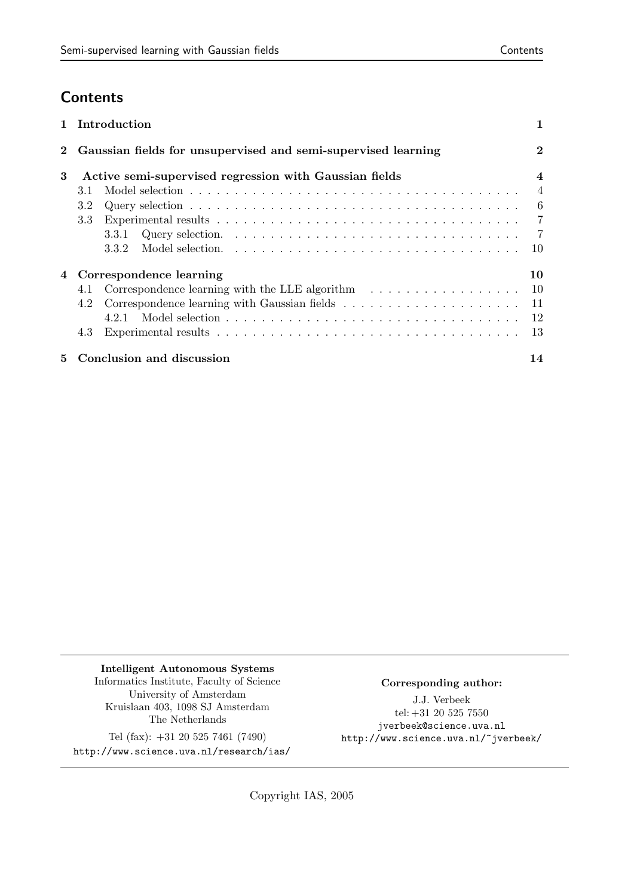## **Contents**

|          |                                                        | 1 Introduction                                                                                |                  |
|----------|--------------------------------------------------------|-----------------------------------------------------------------------------------------------|------------------|
| $\bf{2}$ |                                                        | Gaussian fields for unsupervised and semi-supervised learning                                 | $\bf{2}$         |
| 3        | Active semi-supervised regression with Gaussian fields |                                                                                               | $\boldsymbol{4}$ |
|          | 3.1                                                    |                                                                                               | $\overline{4}$   |
|          | 3.2                                                    |                                                                                               | $6\phantom{.0}$  |
|          | 3.3                                                    |                                                                                               | $\overline{7}$   |
|          |                                                        | 3.3.1                                                                                         | $\overline{7}$   |
|          |                                                        | 3.3.2                                                                                         | 10               |
| 4        |                                                        | Correspondence learning                                                                       | 10               |
|          | 4.1                                                    | Correspondence learning with the LLE algorithm $\ldots \ldots \ldots \ldots \ldots \ldots$ 10 |                  |
|          | 4.2                                                    |                                                                                               | -11              |
|          |                                                        |                                                                                               |                  |
|          | 4.3                                                    |                                                                                               | -13              |
| 5.       |                                                        | Conclusion and discussion                                                                     | 14               |

Intelligent Autonomous Systems Informatics Institute, Faculty of Science University of Amsterdam Kruislaan 403, 1098 SJ Amsterdam The Netherlands

Tel (fax): +31 20 525 7461 (7490) http://www.science.uva.nl/research/ias/

### Corresponding author:

J.J. Verbeek tel:  $+31\ 20\ 525\ 7550$ jverbeek@science.uva.nl http://www.science.uva.nl/~jverbeek/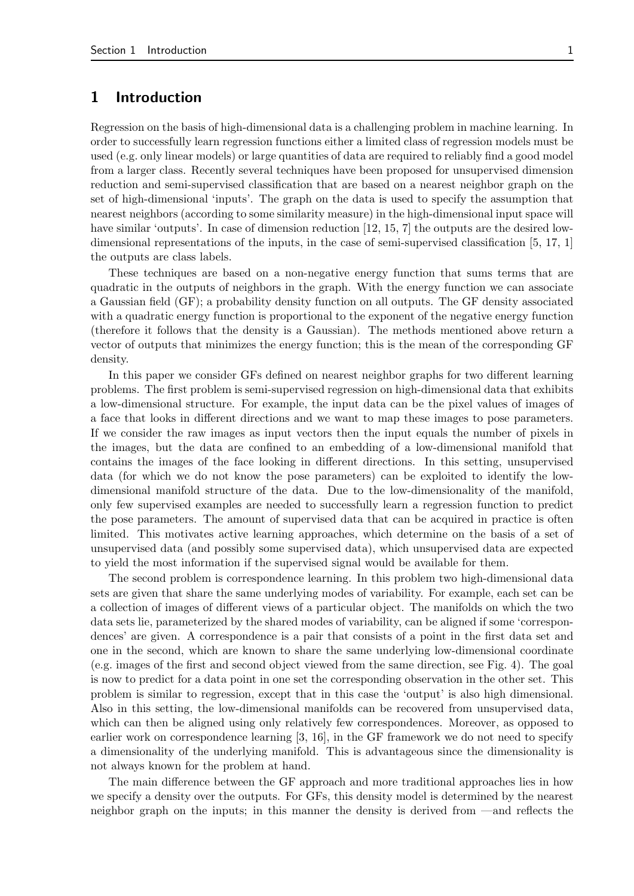## 1 Introduction

Regression on the basis of high-dimensional data is a challenging problem in machine learning. In order to successfully learn regression functions either a limited class of regression models must be used (e.g. only linear models) or large quantities of data are required to reliably find a good model from a larger class. Recently several techniques have been proposed for unsupervised dimension reduction and semi-supervised classification that are based on a nearest neighbor graph on the set of high-dimensional 'inputs'. The graph on the data is used to specify the assumption that nearest neighbors (according to some similarity measure) in the high-dimensional input space will have similar 'outputs'. In case of dimension reduction [12, 15, 7] the outputs are the desired lowdimensional representations of the inputs, in the case of semi-supervised classification [5, 17, 1] the outputs are class labels.

These techniques are based on a non-negative energy function that sums terms that are quadratic in the outputs of neighbors in the graph. With the energy function we can associate a Gaussian field (GF); a probability density function on all outputs. The GF density associated with a quadratic energy function is proportional to the exponent of the negative energy function (therefore it follows that the density is a Gaussian). The methods mentioned above return a vector of outputs that minimizes the energy function; this is the mean of the corresponding GF density.

In this paper we consider GFs defined on nearest neighbor graphs for two different learning problems. The first problem is semi-supervised regression on high-dimensional data that exhibits a low-dimensional structure. For example, the input data can be the pixel values of images of a face that looks in different directions and we want to map these images to pose parameters. If we consider the raw images as input vectors then the input equals the number of pixels in the images, but the data are confined to an embedding of a low-dimensional manifold that contains the images of the face looking in different directions. In this setting, unsupervised data (for which we do not know the pose parameters) can be exploited to identify the lowdimensional manifold structure of the data. Due to the low-dimensionality of the manifold, only few supervised examples are needed to successfully learn a regression function to predict the pose parameters. The amount of supervised data that can be acquired in practice is often limited. This motivates active learning approaches, which determine on the basis of a set of unsupervised data (and possibly some supervised data), which unsupervised data are expected to yield the most information if the supervised signal would be available for them.

The second problem is correspondence learning. In this problem two high-dimensional data sets are given that share the same underlying modes of variability. For example, each set can be a collection of images of different views of a particular object. The manifolds on which the two data sets lie, parameterized by the shared modes of variability, can be aligned if some 'correspondences' are given. A correspondence is a pair that consists of a point in the first data set and one in the second, which are known to share the same underlying low-dimensional coordinate (e.g. images of the first and second object viewed from the same direction, see Fig. 4). The goal is now to predict for a data point in one set the corresponding observation in the other set. This problem is similar to regression, except that in this case the 'output' is also high dimensional. Also in this setting, the low-dimensional manifolds can be recovered from unsupervised data, which can then be aligned using only relatively few correspondences. Moreover, as opposed to earlier work on correspondence learning [3, 16], in the GF framework we do not need to specify a dimensionality of the underlying manifold. This is advantageous since the dimensionality is not always known for the problem at hand.

The main difference between the GF approach and more traditional approaches lies in how we specify a density over the outputs. For GFs, this density model is determined by the nearest neighbor graph on the inputs; in this manner the density is derived from —and reflects the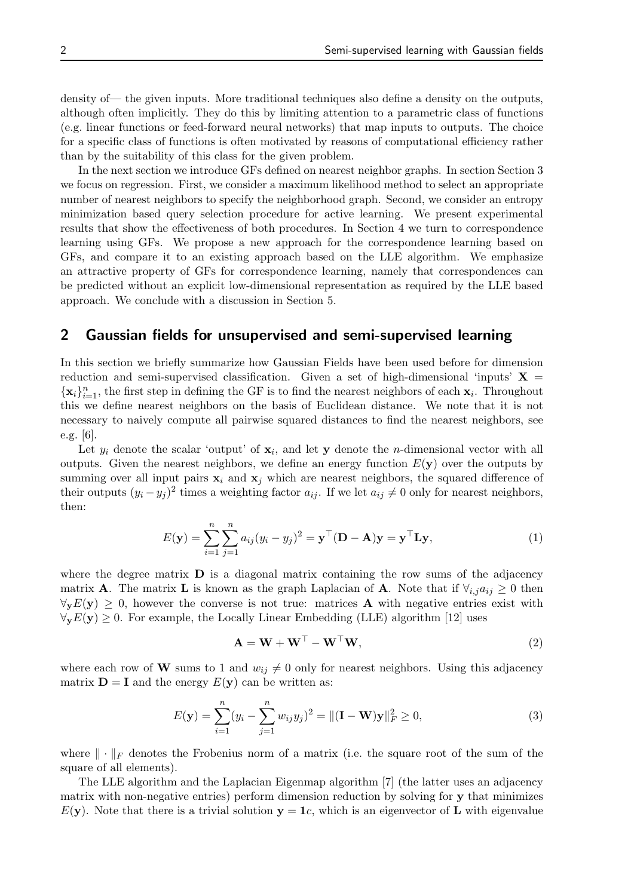density of— the given inputs. More traditional techniques also define a density on the outputs, although often implicitly. They do this by limiting attention to a parametric class of functions (e.g. linear functions or feed-forward neural networks) that map inputs to outputs. The choice for a specific class of functions is often motivated by reasons of computational efficiency rather than by the suitability of this class for the given problem.

In the next section we introduce GFs defined on nearest neighbor graphs. In section Section 3 we focus on regression. First, we consider a maximum likelihood method to select an appropriate number of nearest neighbors to specify the neighborhood graph. Second, we consider an entropy minimization based query selection procedure for active learning. We present experimental results that show the effectiveness of both procedures. In Section 4 we turn to correspondence learning using GFs. We propose a new approach for the correspondence learning based on GFs, and compare it to an existing approach based on the LLE algorithm. We emphasize an attractive property of GFs for correspondence learning, namely that correspondences can be predicted without an explicit low-dimensional representation as required by the LLE based approach. We conclude with a discussion in Section 5.

## 2 Gaussian fields for unsupervised and semi-supervised learning

In this section we briefly summarize how Gaussian Fields have been used before for dimension reduction and semi-supervised classification. Given a set of high-dimensional 'inputs'  $X =$  $\{\mathbf x_i\}_{i=1}^n$ , the first step in defining the GF is to find the nearest neighbors of each  $\mathbf x_i$ . Throughout this we define nearest neighbors on the basis of Euclidean distance. We note that it is not necessary to naively compute all pairwise squared distances to find the nearest neighbors, see e.g. [6].

Let  $y_i$  denote the scalar 'output' of  $\mathbf{x}_i$ , and let y denote the *n*-dimensional vector with all outputs. Given the nearest neighbors, we define an energy function  $E(\mathbf{y})$  over the outputs by summing over all input pairs  $x_i$  and  $x_j$  which are nearest neighbors, the squared difference of their outputs  $(y_i - y_j)^2$  times a weighting factor  $a_{ij}$ . If we let  $a_{ij} \neq 0$  only for nearest neighbors, then:

$$
E(\mathbf{y}) = \sum_{i=1}^{n} \sum_{j=1}^{n} a_{ij} (y_i - y_j)^2 = \mathbf{y}^\top (\mathbf{D} - \mathbf{A}) \mathbf{y} = \mathbf{y}^\top \mathbf{L} \mathbf{y},
$$
(1)

where the degree matrix  $\bf{D}$  is a diagonal matrix containing the row sums of the adjacency matrix **A**. The matrix **L** is known as the graph Laplacian of **A**. Note that if  $\forall_{i,j} a_{ij} \geq 0$  then  $\forall_{\mathbf{v}} E(\mathbf{y}) \geq 0$ , however the converse is not true: matrices **A** with negative entries exist with  $\forall_{\mathbf{v}} E(\mathbf{y}) \geq 0$ . For example, the Locally Linear Embedding (LLE) algorithm [12] uses

$$
\mathbf{A} = \mathbf{W} + \mathbf{W}^{\top} - \mathbf{W}^{\top} \mathbf{W},\tag{2}
$$

where each row of W sums to 1 and  $w_{ij} \neq 0$  only for nearest neighbors. Using this adjacency matrix  $\mathbf{D} = \mathbf{I}$  and the energy  $E(\mathbf{y})$  can be written as:

$$
E(\mathbf{y}) = \sum_{i=1}^{n} (y_i - \sum_{j=1}^{n} w_{ij} y_j)^2 = ||(\mathbf{I} - \mathbf{W})\mathbf{y}||_F^2 \ge 0,
$$
\n(3)

where  $\|\cdot\|_F$  denotes the Frobenius norm of a matrix (i.e. the square root of the sum of the square of all elements).

The LLE algorithm and the Laplacian Eigenmap algorithm [7] (the latter uses an adjacency matrix with non-negative entries) perform dimension reduction by solving for y that minimizes  $E(y)$ . Note that there is a trivial solution  $y = 1c$ , which is an eigenvector of L with eigenvalue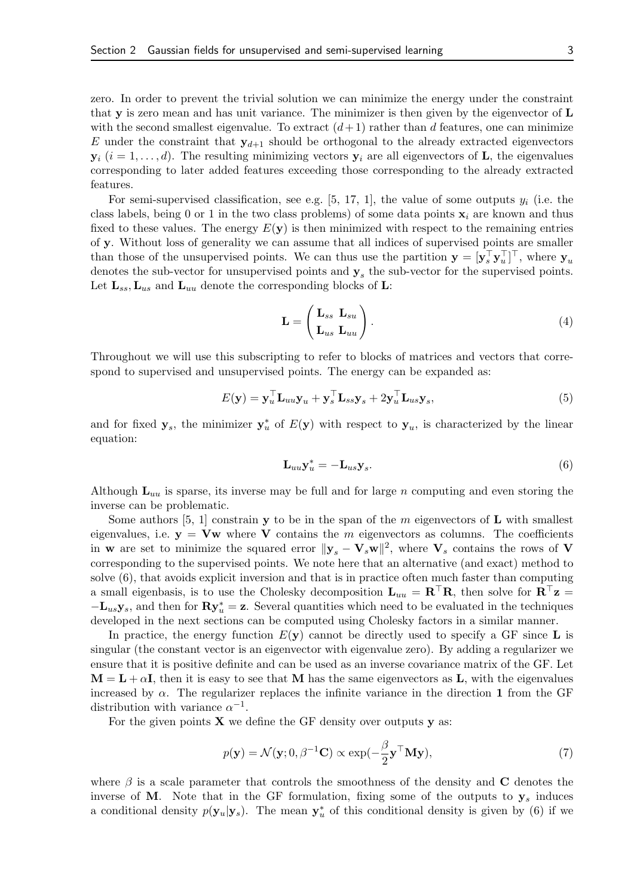zero. In order to prevent the trivial solution we can minimize the energy under the constraint that **v** is zero mean and has unit variance. The minimizer is then given by the eigenvector of  $\bf{L}$ with the second smallest eigenvalue. To extract  $(d+1)$  rather than d features, one can minimize E under the constraint that  $y_{d+1}$  should be orthogonal to the already extracted eigenvectors  $y_i$   $(i = 1, \ldots, d)$ . The resulting minimizing vectors  $y_i$  are all eigenvectors of **L**, the eigenvalues corresponding to later added features exceeding those corresponding to the already extracted features.

For semi-supervised classification, see e.g. [5, 17, 1], the value of some outputs  $y_i$  (i.e. the class labels, being 0 or 1 in the two class problems) of some data points  $x_i$  are known and thus fixed to these values. The energy  $E(y)$  is then minimized with respect to the remaining entries of y. Without loss of generality we can assume that all indices of supervised points are smaller than those of the unsupervised points. We can thus use the partition  $\mathbf{y} = [\mathbf{y}_s^{\top} \mathbf{y}_u^{\top}]^{\top}$ , where  $\mathbf{y}_u$ denotes the sub-vector for unsupervised points and  $y_s$  the sub-vector for the supervised points. Let  $\mathbf{L}_{ss}, \mathbf{L}_{us}$  and  $\mathbf{L}_{uu}$  denote the corresponding blocks of **L**:

$$
\mathbf{L} = \begin{pmatrix} \mathbf{L}_{ss} & \mathbf{L}_{su} \\ \mathbf{L}_{us} & \mathbf{L}_{uu} \end{pmatrix} . \tag{4}
$$

Throughout we will use this subscripting to refer to blocks of matrices and vectors that correspond to supervised and unsupervised points. The energy can be expanded as:

$$
E(\mathbf{y}) = \mathbf{y}_u^{\top} \mathbf{L}_{uu} \mathbf{y}_u + \mathbf{y}_s^{\top} \mathbf{L}_{ss} \mathbf{y}_s + 2 \mathbf{y}_u^{\top} \mathbf{L}_{us} \mathbf{y}_s, \tag{5}
$$

and for fixed  $y_s$ , the minimizer  $y_u^*$  of  $E(y)$  with respect to  $y_u$ , is characterized by the linear equation:

$$
\mathbf{L}_{uu}\mathbf{y}_u^* = -\mathbf{L}_{us}\mathbf{y}_s. \tag{6}
$$

Although  $L_{uu}$  is sparse, its inverse may be full and for large n computing and even storing the inverse can be problematic.

Some authors  $[5, 1]$  constrain y to be in the span of the m eigenvectors of L with smallest eigenvalues, i.e.  $y = Vw$  where V contains the m eigenvectors as columns. The coefficients in w are set to minimize the squared error  $\|\mathbf{y}_s - \mathbf{V}_s\mathbf{w}\|^2$ , where  $\mathbf{V}_s$  contains the rows of V corresponding to the supervised points. We note here that an alternative (and exact) method to solve (6), that avoids explicit inversion and that is in practice often much faster than computing a small eigenbasis, is to use the Cholesky decomposition  $L_{uu} = R^{\top}R$ , then solve for  $R^{\top}z =$  $-\mathbf{L}_{us}\mathbf{y}_s$ , and then for  $\mathbf{R}\mathbf{y}_u^* = \mathbf{z}$ . Several quantities which need to be evaluated in the techniques developed in the next sections can be computed using Cholesky factors in a similar manner.

In practice, the energy function  $E(\mathbf{v})$  cannot be directly used to specify a GF since L is singular (the constant vector is an eigenvector with eigenvalue zero). By adding a regularizer we ensure that it is positive definite and can be used as an inverse covariance matrix of the GF. Let  $M = L + \alpha I$ , then it is easy to see that M has the same eigenvectors as L, with the eigenvalues increased by  $\alpha$ . The regularizer replaces the infinite variance in the direction 1 from the GF distribution with variance  $\alpha^{-1}$ .

For the given points  $X$  we define the GF density over outputs  $y$  as:

$$
p(\mathbf{y}) = \mathcal{N}(\mathbf{y}; 0, \beta^{-1}\mathbf{C}) \propto \exp(-\frac{\beta}{2}\mathbf{y}^{\top}\mathbf{M}\mathbf{y}),
$$
\n(7)

where  $\beta$  is a scale parameter that controls the smoothness of the density and C denotes the inverse of M. Note that in the GF formulation, fixing some of the outputs to  $y_s$  induces a conditional density  $p(\mathbf{y}_u|\mathbf{y}_s)$ . The mean  $\mathbf{y}_u^*$  of this conditional density is given by (6) if we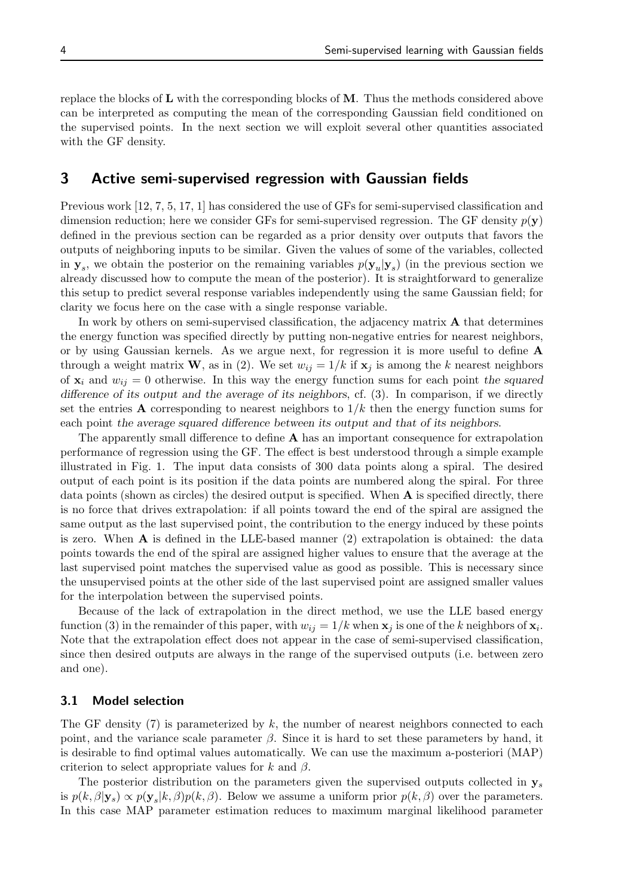replace the blocks of L with the corresponding blocks of M. Thus the methods considered above can be interpreted as computing the mean of the corresponding Gaussian field conditioned on the supervised points. In the next section we will exploit several other quantities associated with the GF density.

## 3 Active semi-supervised regression with Gaussian fields

Previous work [12, 7, 5, 17, 1] has considered the use of GFs for semi-supervised classification and dimension reduction; here we consider GFs for semi-supervised regression. The GF density  $p(\mathbf{y})$ defined in the previous section can be regarded as a prior density over outputs that favors the outputs of neighboring inputs to be similar. Given the values of some of the variables, collected in  $y_s$ , we obtain the posterior on the remaining variables  $p(y_u|y_s)$  (in the previous section we already discussed how to compute the mean of the posterior). It is straightforward to generalize this setup to predict several response variables independently using the same Gaussian field; for clarity we focus here on the case with a single response variable.

In work by others on semi-supervised classification, the adjacency matrix A that determines the energy function was specified directly by putting non-negative entries for nearest neighbors, or by using Gaussian kernels. As we argue next, for regression it is more useful to define A through a weight matrix W, as in (2). We set  $w_{ij} = 1/k$  if  $x_j$  is among the k nearest neighbors of  $x_i$  and  $w_{ij} = 0$  otherwise. In this way the energy function sums for each point the squared difference of its output and the average of its neighbors, cf. (3). In comparison, if we directly set the entries **A** corresponding to nearest neighbors to  $1/k$  then the energy function sums for each point the average squared difference between its output and that of its neighbors.

The apparently small difference to define A has an important consequence for extrapolation performance of regression using the GF. The effect is best understood through a simple example illustrated in Fig. 1. The input data consists of 300 data points along a spiral. The desired output of each point is its position if the data points are numbered along the spiral. For three data points (shown as circles) the desired output is specified. When  $A$  is specified directly, there is no force that drives extrapolation: if all points toward the end of the spiral are assigned the same output as the last supervised point, the contribution to the energy induced by these points is zero. When A is defined in the LLE-based manner (2) extrapolation is obtained: the data points towards the end of the spiral are assigned higher values to ensure that the average at the last supervised point matches the supervised value as good as possible. This is necessary since the unsupervised points at the other side of the last supervised point are assigned smaller values for the interpolation between the supervised points.

Because of the lack of extrapolation in the direct method, we use the LLE based energy function (3) in the remainder of this paper, with  $w_{ij} = 1/k$  when  $\mathbf{x}_j$  is one of the k neighbors of  $\mathbf{x}_i$ . Note that the extrapolation effect does not appear in the case of semi-supervised classification, since then desired outputs are always in the range of the supervised outputs (i.e. between zero and one).

#### 3.1 Model selection

The GF density  $(7)$  is parameterized by k, the number of nearest neighbors connected to each point, and the variance scale parameter  $\beta$ . Since it is hard to set these parameters by hand, it is desirable to find optimal values automatically. We can use the maximum a-posteriori (MAP) criterion to select appropriate values for k and  $\beta$ .

The posterior distribution on the parameters given the supervised outputs collected in  $y_s$ is  $p(k, \beta | \mathbf{y}_s) \propto p(\mathbf{y}_s | k, \beta) p(k, \beta)$ . Below we assume a uniform prior  $p(k, \beta)$  over the parameters. In this case MAP parameter estimation reduces to maximum marginal likelihood parameter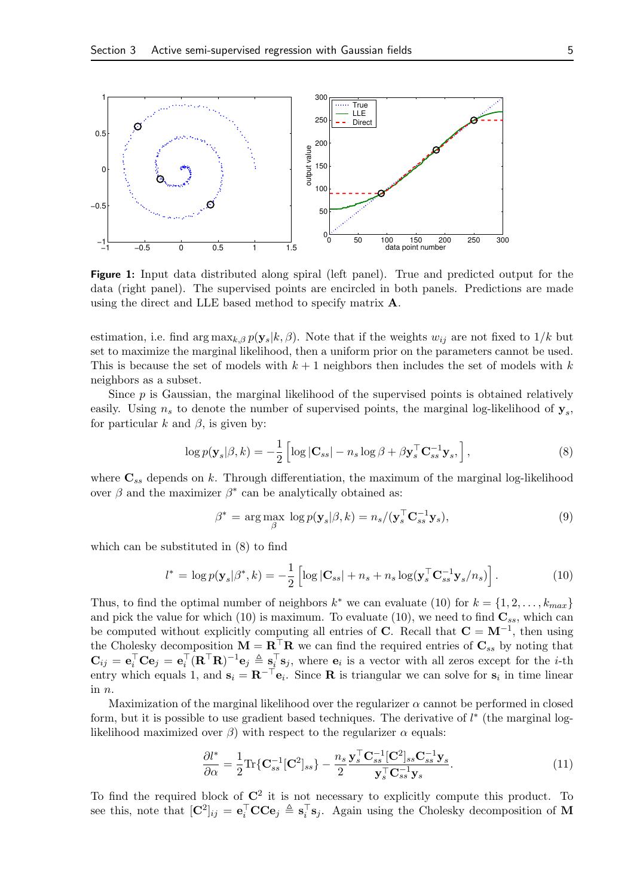

Figure 1: Input data distributed along spiral (left panel). True and predicted output for the data (right panel). The supervised points are encircled in both panels. Predictions are made using the direct and LLE based method to specify matrix A.

estimation, i.e. find arg  $\max_{k,\beta} p(\mathbf{y}_s|k,\beta)$ . Note that if the weights  $w_{ij}$  are not fixed to  $1/k$  but set to maximize the marginal likelihood, then a uniform prior on the parameters cannot be used. This is because the set of models with  $k + 1$  neighbors then includes the set of models with k neighbors as a subset.

Since  $p$  is Gaussian, the marginal likelihood of the supervised points is obtained relatively easily. Using  $n_s$  to denote the number of supervised points, the marginal log-likelihood of  $y_s$ , for particular k and  $\beta$ , is given by:

$$
\log p(\mathbf{y}_s|\beta, k) = -\frac{1}{2} \left[ \log |\mathbf{C}_{ss}| - n_s \log \beta + \beta \mathbf{y}_s^{\top} \mathbf{C}_{ss}^{-1} \mathbf{y}_s, \right],\tag{8}
$$

where  $\mathbf{C}_{ss}$  depends on k. Through differentiation, the maximum of the marginal log-likelihood over  $\beta$  and the maximizer  $\beta^*$  can be analytically obtained as:

$$
\beta^* = \arg\max_{\beta} \log p(\mathbf{y}_s | \beta, k) = n_s / (\mathbf{y}_s^{\top} \mathbf{C}_{ss}^{-1} \mathbf{y}_s), \tag{9}
$$

which can be substituted in (8) to find

$$
l^* = \log p(\mathbf{y}_s | \beta^*, k) = -\frac{1}{2} \left[ \log |\mathbf{C}_{ss}| + n_s + n_s \log(\mathbf{y}_s^\top \mathbf{C}_{ss}^{-1} \mathbf{y}_s / n_s) \right]. \tag{10}
$$

Thus, to find the optimal number of neighbors  $k^*$  we can evaluate (10) for  $k = \{1, 2, \ldots, k_{max}\}\$ and pick the value for which (10) is maximum. To evaluate (10), we need to find  $\mathbf{C}_{ss}$ , which can be computed without explicitly computing all entries of **C**. Recall that  $\mathbf{C} = \mathbf{M}^{-1}$ , then using the Cholesky decomposition  $M = \mathbf{R}^\top \mathbf{R}$  we can find the required entries of  $\mathbf{C}_{ss}$  by noting that  $\mathbf{C}_{ij} = \mathbf{e}_i^{\top} \mathbf{C} \mathbf{e}_j = \mathbf{e}_i^{\top} (\mathbf{R}^{\top} \mathbf{R})^{-1} \mathbf{e}_j \triangleq \mathbf{s}_i^{\top} \mathbf{s}_j$ , where  $\mathbf{e}_i$  is a vector with all zeros except for the *i*-th entry which equals 1, and  $\mathbf{s}_i = \mathbf{R}^{-\top} \mathbf{e}_i$ . Since **R** is triangular we can solve for  $\mathbf{s}_i$  in time linear in n.

Maximization of the marginal likelihood over the regularizer  $\alpha$  cannot be performed in closed form, but it is possible to use gradient based techniques. The derivative of  $l^*$  (the marginal loglikelihood maximized over  $\beta$ ) with respect to the regularizer  $\alpha$  equals:

$$
\frac{\partial l^*}{\partial \alpha} = \frac{1}{2} \text{Tr} \{ \mathbf{C}_{ss}^{-1} [\mathbf{C}^2]_{ss} \} - \frac{n_s}{2} \frac{\mathbf{y}_s^{\top} \mathbf{C}_{ss}^{-1} [\mathbf{C}^2]_{ss} \mathbf{C}_{ss}^{-1} \mathbf{y}_s}{\mathbf{y}_s^{\top} \mathbf{C}_{ss}^{-1} \mathbf{y}_s}.
$$
(11)

To find the required block of  $\mathbb{C}^2$  it is not necessary to explicitly compute this product. To see this, note that  $[\mathbf{C}^2]_{ij} = \mathbf{e}_i^{\top} \mathbf{C} \mathbf{C} \mathbf{e}_j \triangleq \mathbf{s}_i^{\top} \mathbf{s}_j$ . Again using the Cholesky decomposition of M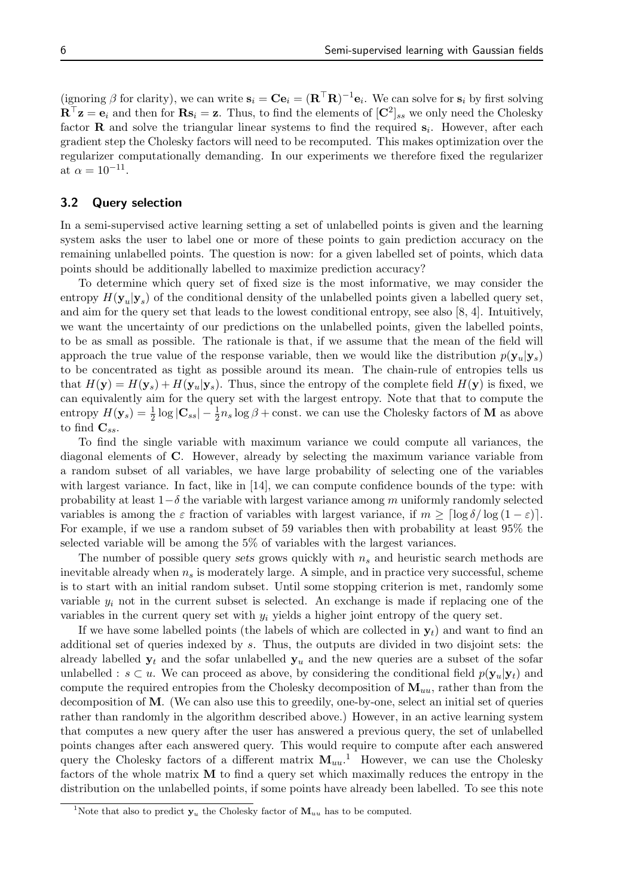(ignoring  $\beta$  for clarity), we can write  $\mathbf{s}_i = \mathbf{C} \mathbf{e}_i = (\mathbf{R}^\top \mathbf{R})^{-1} \mathbf{e}_i$ . We can solve for  $\mathbf{s}_i$  by first solving  $\mathbf{R}^\top \mathbf{z} = \mathbf{e}_i$  and then for  $\mathbf{R} \mathbf{s}_i = \mathbf{z}$ . Thus, to find the elements of  $[\mathbf{C}^2]_{ss}$  we only need the Cholesky factor **R** and solve the triangular linear systems to find the required  $s_i$ . However, after each gradient step the Cholesky factors will need to be recomputed. This makes optimization over the regularizer computationally demanding. In our experiments we therefore fixed the regularizer at  $\alpha = 10^{-11}$ .

#### 3.2 Query selection

In a semi-supervised active learning setting a set of unlabelled points is given and the learning system asks the user to label one or more of these points to gain prediction accuracy on the remaining unlabelled points. The question is now: for a given labelled set of points, which data points should be additionally labelled to maximize prediction accuracy?

To determine which query set of fixed size is the most informative, we may consider the entropy  $H(\mathbf{y}_u|\mathbf{y}_s)$  of the conditional density of the unlabelled points given a labelled query set, and aim for the query set that leads to the lowest conditional entropy, see also [8, 4]. Intuitively, we want the uncertainty of our predictions on the unlabelled points, given the labelled points, to be as small as possible. The rationale is that, if we assume that the mean of the field will approach the true value of the response variable, then we would like the distribution  $p(\mathbf{y}_u|\mathbf{y}_s)$ to be concentrated as tight as possible around its mean. The chain-rule of entropies tells us that  $H(\mathbf{y}) = H(\mathbf{y}_s) + H(\mathbf{y}_u|\mathbf{y}_s)$ . Thus, since the entropy of the complete field  $H(\mathbf{y})$  is fixed, we can equivalently aim for the query set with the largest entropy. Note that that to compute the entropy  $H(\mathbf{y}_s) = \frac{1}{2} \log |\mathbf{C}_{ss}| - \frac{1}{2} n_s \log \beta + \text{const.}$  we can use the Cholesky factors of M as above to find  $\mathbf{C}_{ss}$ .

To find the single variable with maximum variance we could compute all variances, the diagonal elements of C. However, already by selecting the maximum variance variable from a random subset of all variables, we have large probability of selecting one of the variables with largest variance. In fact, like in [14], we can compute confidence bounds of the type: with probability at least  $1-\delta$  the variable with largest variance among m uniformly randomly selected variables is among the  $\varepsilon$  fraction of variables with largest variance, if  $m \geq \lceil \log \delta / \log (1 - \varepsilon) \rceil$ . For example, if we use a random subset of 59 variables then with probability at least 95% the selected variable will be among the 5% of variables with the largest variances.

The number of possible query sets grows quickly with  $n<sub>s</sub>$  and heuristic search methods are inevitable already when  $n<sub>s</sub>$  is moderately large. A simple, and in practice very successful, scheme is to start with an initial random subset. Until some stopping criterion is met, randomly some variable  $y_i$  not in the current subset is selected. An exchange is made if replacing one of the variables in the current query set with  $y_i$  yields a higher joint entropy of the query set.

If we have some labelled points (the labels of which are collected in  $y_t$ ) and want to find an additional set of queries indexed by s. Thus, the outputs are divided in two disjoint sets: the already labelled  $y_t$  and the sofar unlabelled  $y_u$  and the new queries are a subset of the sofar unlabelled :  $s \subset u$ . We can proceed as above, by considering the conditional field  $p(\mathbf{y}_u|\mathbf{y}_t)$  and compute the required entropies from the Cholesky decomposition of  $\mathbf{M}_{uu}$ , rather than from the decomposition of M. (We can also use this to greedily, one-by-one, select an initial set of queries rather than randomly in the algorithm described above.) However, in an active learning system that computes a new query after the user has answered a previous query, the set of unlabelled points changes after each answered query. This would require to compute after each answered query the Cholesky factors of a different matrix  $M_{uu}$ <sup>1</sup>. However, we can use the Cholesky factors of the whole matrix M to find a query set which maximally reduces the entropy in the distribution on the unlabelled points, if some points have already been labelled. To see this note

<sup>&</sup>lt;sup>1</sup>Note that also to predict  $y_u$  the Cholesky factor of  $M_{uu}$  has to be computed.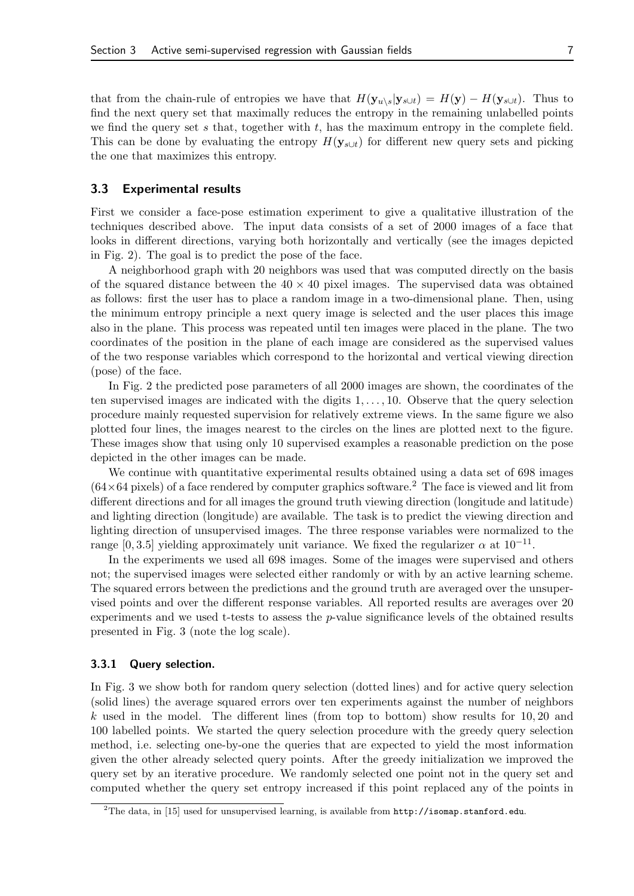that from the chain-rule of entropies we have that  $H(\mathbf{y}_{u\setminus s}|\mathbf{y}_{s\cup t}) = H(\mathbf{y}) - H(\mathbf{y}_{s\cup t})$ . Thus to find the next query set that maximally reduces the entropy in the remaining unlabelled points we find the query set s that, together with  $t$ , has the maximum entropy in the complete field. This can be done by evaluating the entropy  $H(\mathbf{y}_{s\cup t})$  for different new query sets and picking the one that maximizes this entropy.

#### 3.3 Experimental results

First we consider a face-pose estimation experiment to give a qualitative illustration of the techniques described above. The input data consists of a set of 2000 images of a face that looks in different directions, varying both horizontally and vertically (see the images depicted in Fig. 2). The goal is to predict the pose of the face.

A neighborhood graph with 20 neighbors was used that was computed directly on the basis of the squared distance between the  $40 \times 40$  pixel images. The supervised data was obtained as follows: first the user has to place a random image in a two-dimensional plane. Then, using the minimum entropy principle a next query image is selected and the user places this image also in the plane. This process was repeated until ten images were placed in the plane. The two coordinates of the position in the plane of each image are considered as the supervised values of the two response variables which correspond to the horizontal and vertical viewing direction (pose) of the face.

In Fig. 2 the predicted pose parameters of all 2000 images are shown, the coordinates of the ten supervised images are indicated with the digits  $1, \ldots, 10$ . Observe that the query selection procedure mainly requested supervision for relatively extreme views. In the same figure we also plotted four lines, the images nearest to the circles on the lines are plotted next to the figure. These images show that using only 10 supervised examples a reasonable prediction on the pose depicted in the other images can be made.

We continue with quantitative experimental results obtained using a data set of 698 images  $(64\times64 \text{ pixels})$  of a face rendered by computer graphics software.<sup>2</sup> The face is viewed and lit from different directions and for all images the ground truth viewing direction (longitude and latitude) and lighting direction (longitude) are available. The task is to predict the viewing direction and lighting direction of unsupervised images. The three response variables were normalized to the range [0, 3.5] yielding approximately unit variance. We fixed the regularizer  $\alpha$  at  $10^{-11}$ .

In the experiments we used all 698 images. Some of the images were supervised and others not; the supervised images were selected either randomly or with by an active learning scheme. The squared errors between the predictions and the ground truth are averaged over the unsupervised points and over the different response variables. All reported results are averages over 20 experiments and we used t-tests to assess the  $p$ -value significance levels of the obtained results presented in Fig. 3 (note the log scale).

#### 3.3.1 Query selection.

In Fig. 3 we show both for random query selection (dotted lines) and for active query selection (solid lines) the average squared errors over ten experiments against the number of neighbors k used in the model. The different lines (from top to bottom) show results for  $10, 20$  and 100 labelled points. We started the query selection procedure with the greedy query selection method, i.e. selecting one-by-one the queries that are expected to yield the most information given the other already selected query points. After the greedy initialization we improved the query set by an iterative procedure. We randomly selected one point not in the query set and computed whether the query set entropy increased if this point replaced any of the points in

<sup>&</sup>lt;sup>2</sup>The data, in [15] used for unsupervised learning, is available from  $http://isomap.stanford.edu$ .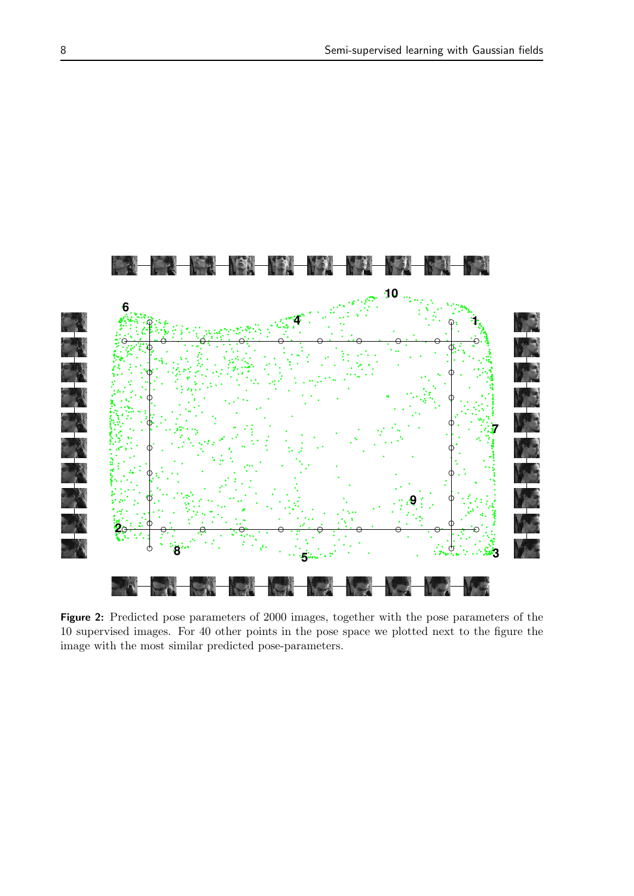

Figure 2: Predicted pose parameters of 2000 images, together with the pose parameters of the 10 supervised images. For 40 other points in the pose space we plotted next to the figure the image with the most similar predicted pose-parameters.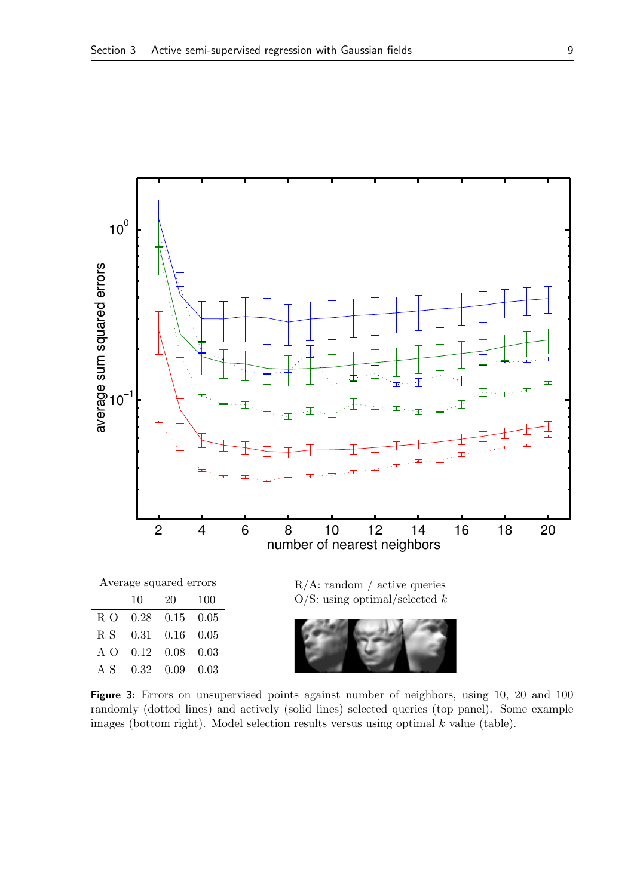

Figure 3: Errors on unsupervised points against number of neighbors, using 10, 20 and 100 randomly (dotted lines) and actively (solid lines) selected queries (top panel). Some example images (bottom right). Model selection results versus using optimal  $k$  value (table).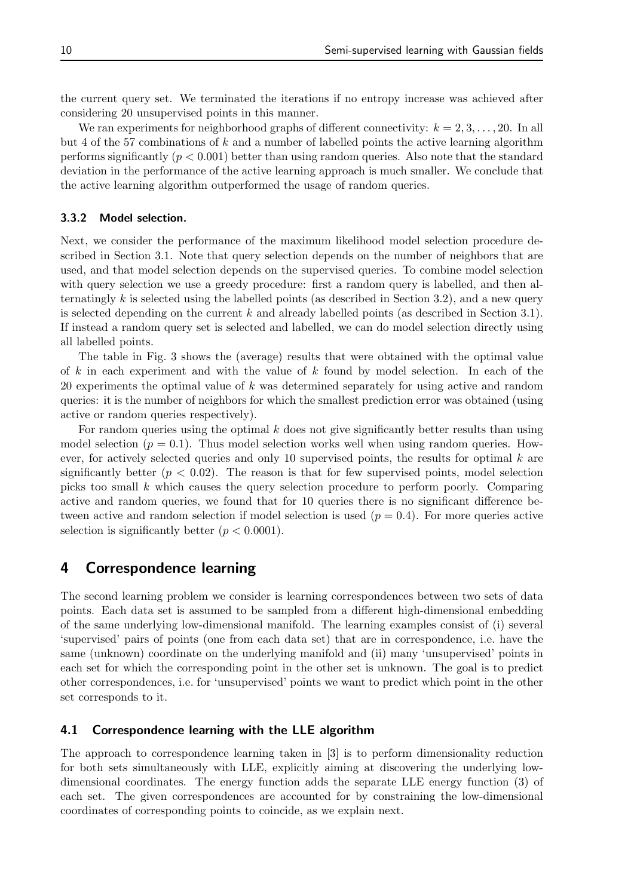the current query set. We terminated the iterations if no entropy increase was achieved after considering 20 unsupervised points in this manner.

We ran experiments for neighborhood graphs of different connectivity:  $k = 2, 3, \ldots, 20$ . In all but 4 of the 57 combinations of k and a number of labelled points the active learning algorithm performs significantly  $(p < 0.001)$  better than using random queries. Also note that the standard deviation in the performance of the active learning approach is much smaller. We conclude that the active learning algorithm outperformed the usage of random queries.

#### 3.3.2 Model selection.

Next, we consider the performance of the maximum likelihood model selection procedure described in Section 3.1. Note that query selection depends on the number of neighbors that are used, and that model selection depends on the supervised queries. To combine model selection with query selection we use a greedy procedure: first a random query is labelled, and then alternatingly k is selected using the labelled points (as described in Section 3.2), and a new query is selected depending on the current k and already labelled points (as described in Section 3.1). If instead a random query set is selected and labelled, we can do model selection directly using all labelled points.

The table in Fig. 3 shows the (average) results that were obtained with the optimal value of  $k$  in each experiment and with the value of  $k$  found by model selection. In each of the 20 experiments the optimal value of k was determined separately for using active and random queries: it is the number of neighbors for which the smallest prediction error was obtained (using active or random queries respectively).

For random queries using the optimal  $k$  does not give significantly better results than using model selection ( $p = 0.1$ ). Thus model selection works well when using random queries. However, for actively selected queries and only 10 supervised points, the results for optimal  $k$  are significantly better  $(p < 0.02)$ . The reason is that for few supervised points, model selection picks too small k which causes the query selection procedure to perform poorly. Comparing active and random queries, we found that for 10 queries there is no significant difference between active and random selection if model selection is used  $(p = 0.4)$ . For more queries active selection is significantly better  $(p < 0.0001)$ .

## 4 Correspondence learning

The second learning problem we consider is learning correspondences between two sets of data points. Each data set is assumed to be sampled from a different high-dimensional embedding of the same underlying low-dimensional manifold. The learning examples consist of (i) several 'supervised' pairs of points (one from each data set) that are in correspondence, i.e. have the same (unknown) coordinate on the underlying manifold and (ii) many 'unsupervised' points in each set for which the corresponding point in the other set is unknown. The goal is to predict other correspondences, i.e. for 'unsupervised' points we want to predict which point in the other set corresponds to it.

### 4.1 Correspondence learning with the LLE algorithm

The approach to correspondence learning taken in [3] is to perform dimensionality reduction for both sets simultaneously with LLE, explicitly aiming at discovering the underlying lowdimensional coordinates. The energy function adds the separate LLE energy function (3) of each set. The given correspondences are accounted for by constraining the low-dimensional coordinates of corresponding points to coincide, as we explain next.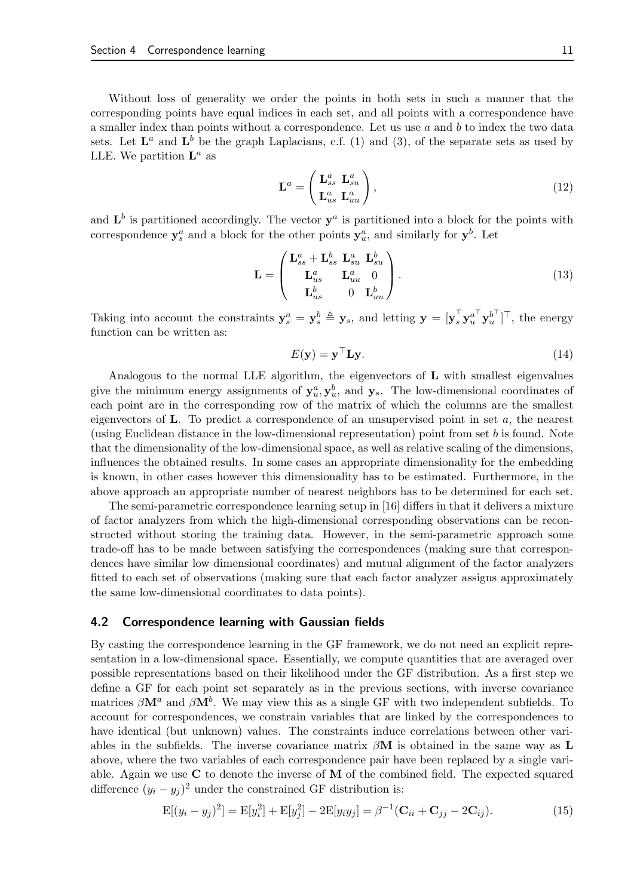Without loss of generality we order the points in both sets in such a manner that the corresponding points have equal indices in each set, and all points with a correspondence have a smaller index than points without a correspondence. Let us use  $a$  and  $b$  to index the two data sets. Let  $\mathbf{L}^a$  and  $\mathbf{L}^b$  be the graph Laplacians, c.f. (1) and (3), of the separate sets as used by LLE. We partition  $\mathbf{L}^a$  as

$$
\mathbf{L}^a = \begin{pmatrix} \mathbf{L}_{ss}^a & \mathbf{L}_{su}^a \\ \mathbf{L}_{us}^a & \mathbf{L}_{uu}^a \end{pmatrix},\tag{12}
$$

and  $\mathbf{L}^b$  is partitioned accordingly. The vector  $\mathbf{y}^a$  is partitioned into a block for the points with correspondence  $y_s^a$  and a block for the other points  $y_u^a$ , and similarly for  $y^b$ . Let

$$
\mathbf{L} = \begin{pmatrix} \mathbf{L}_{ss}^a + \mathbf{L}_{ss}^b & \mathbf{L}_{su}^a & \mathbf{L}_{su}^b \\ \mathbf{L}_{us}^a & \mathbf{L}_{uu}^a & 0 \\ \mathbf{L}_{us}^b & 0 & \mathbf{L}_{uu}^b \end{pmatrix} .
$$
 (13)

Taking into account the constraints  $y_s^a = y_s^b \triangleq y_s$ , and letting  $y = [y_s^{\top} y_u^{a^{\top}} y_u^{b^{\top}}]^{\top}$ , the energy function can be written as:

$$
E(\mathbf{y}) = \mathbf{y}^\top \mathbf{L} \mathbf{y}.\tag{14}
$$

Analogous to the normal LLE algorithm, the eigenvectors of L with smallest eigenvalues give the minimum energy assignments of  $y_u^a, y_u^b$ , and  $y_s$ . The low-dimensional coordinates of each point are in the corresponding row of the matrix of which the columns are the smallest eigenvectors of **. To predict a correspondence of an unsupervised point in set**  $a$ **, the nearest** (using Euclidean distance in the low-dimensional representation) point from set b is found. Note that the dimensionality of the low-dimensional space, as well as relative scaling of the dimensions, influences the obtained results. In some cases an appropriate dimensionality for the embedding is known, in other cases however this dimensionality has to be estimated. Furthermore, in the above approach an appropriate number of nearest neighbors has to be determined for each set.

The semi-parametric correspondence learning setup in [16] differs in that it delivers a mixture of factor analyzers from which the high-dimensional corresponding observations can be reconstructed without storing the training data. However, in the semi-parametric approach some trade-off has to be made between satisfying the correspondences (making sure that correspondences have similar low dimensional coordinates) and mutual alignment of the factor analyzers fitted to each set of observations (making sure that each factor analyzer assigns approximately the same low-dimensional coordinates to data points).

#### 4.2 Correspondence learning with Gaussian fields

By casting the correspondence learning in the GF framework, we do not need an explicit representation in a low-dimensional space. Essentially, we compute quantities that are averaged over possible representations based on their likelihood under the GF distribution. As a first step we define a GF for each point set separately as in the previous sections, with inverse covariance matrices  $\beta \mathbf{M}^a$  and  $\beta \mathbf{M}^b$ . We may view this as a single GF with two independent subfields. To account for correspondences, we constrain variables that are linked by the correspondences to have identical (but unknown) values. The constraints induce correlations between other variables in the subfields. The inverse covariance matrix  $\beta \mathbf{M}$  is obtained in the same way as **L** above, where the two variables of each correspondence pair have been replaced by a single variable. Again we use  $C$  to denote the inverse of  $M$  of the combined field. The expected squared difference  $(y_i - y_j)^2$  under the constrained GF distribution is:

$$
E[(y_i - y_j)^2] = E[y_i^2] + E[y_j^2] - 2E[y_i y_j] = \beta^{-1}(\mathbf{C}_{ii} + \mathbf{C}_{jj} - 2\mathbf{C}_{ij}).
$$
\n(15)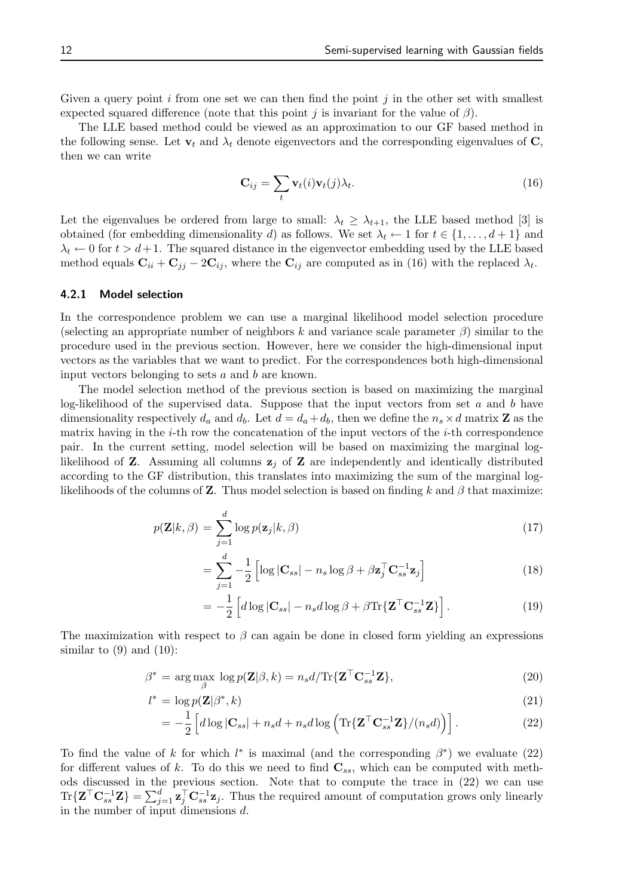Given a query point  $i$  from one set we can then find the point  $j$  in the other set with smallest expected squared difference (note that this point j is invariant for the value of  $\beta$ ).

The LLE based method could be viewed as an approximation to our GF based method in the following sense. Let  $\mathbf{v}_t$  and  $\lambda_t$  denote eigenvectors and the corresponding eigenvalues of  $\mathbf{C}$ , then we can write

$$
\mathbf{C}_{ij} = \sum_{t} \mathbf{v}_t(i) \mathbf{v}_t(j) \lambda_t.
$$
 (16)

Let the eigenvalues be ordered from large to small:  $\lambda_t \geq \lambda_{t+1}$ , the LLE based method [3] is obtained (for embedding dimensionality d) as follows. We set  $\lambda_t \leftarrow 1$  for  $t \in \{1, \ldots, d+1\}$  and  $\lambda_t \leftarrow 0$  for  $t > d+1$ . The squared distance in the eigenvector embedding used by the LLE based method equals  $\mathbf{C}_{ii} + \mathbf{C}_{jj} - 2\mathbf{C}_{ij}$ , where the  $\mathbf{C}_{ij}$  are computed as in (16) with the replaced  $\lambda_t$ .

#### 4.2.1 Model selection

In the correspondence problem we can use a marginal likelihood model selection procedure (selecting an appropriate number of neighbors k and variance scale parameter  $\beta$ ) similar to the procedure used in the previous section. However, here we consider the high-dimensional input vectors as the variables that we want to predict. For the correspondences both high-dimensional input vectors belonging to sets a and b are known.

The model selection method of the previous section is based on maximizing the marginal log-likelihood of the supervised data. Suppose that the input vectors from set  $a$  and  $b$  have dimensionality respectively  $d_a$  and  $d_b$ . Let  $d = d_a + d_b$ , then we define the  $n_s \times d$  matrix **Z** as the matrix having in the  $i$ -th row the concatenation of the input vectors of the  $i$ -th correspondence pair. In the current setting, model selection will be based on maximizing the marginal loglikelihood of **Z**. Assuming all columns  $z_i$  of **Z** are independently and identically distributed according to the GF distribution, this translates into maximizing the sum of the marginal loglikelihoods of the columns of **Z**. Thus model selection is based on finding k and  $\beta$  that maximize:

$$
p(\mathbf{Z}|k,\beta) = \sum_{j=1}^{d} \log p(\mathbf{z}_j|k,\beta)
$$
\n(17)

$$
= \sum_{j=1}^{d} -\frac{1}{2} \left[ \log |\mathbf{C}_{ss}| - n_s \log \beta + \beta \mathbf{z}_j^{\top} \mathbf{C}_{ss}^{-1} \mathbf{z}_j \right]
$$
(18)

$$
= -\frac{1}{2} \left[ d \log |\mathbf{C}_{ss}| - n_s d \log \beta + \beta \text{Tr} \{ \mathbf{Z}^\top \mathbf{C}_{ss}^{-1} \mathbf{Z} \} \right]. \tag{19}
$$

The maximization with respect to  $\beta$  can again be done in closed form yielding an expressions similar to  $(9)$  and  $(10)$ :

$$
\beta^* = \arg \max_{\beta} \log p(\mathbf{Z}|\beta, k) = n_s d / \text{Tr}\{\mathbf{Z}^\top \mathbf{C}_{ss}^{-1} \mathbf{Z}\},\tag{20}
$$

$$
l^* = \log p(\mathbf{Z}|\beta^*, k) \tag{21}
$$

$$
= -\frac{1}{2} \left[ d \log |\mathbf{C}_{ss}| + n_s d + n_s d \log \left( \text{Tr} \{ \mathbf{Z}^\top \mathbf{C}_{ss}^{-1} \mathbf{Z} \} / (n_s d) \right) \right]. \tag{22}
$$

To find the value of k for which  $l^*$  is maximal (and the corresponding  $\beta^*$ ) we evaluate (22) for different values of k. To do this we need to find  $\mathbf{C}_{ss}$ , which can be computed with methods discussed in the previous section. Note that to compute the trace in (22) we can use  $\text{Tr}\{\mathbf{Z}^{\top}\mathbf{C}_{ss}^{-1}\mathbf{Z}\} = \sum_{j=1}^{d} \mathbf{z}_{j}^{\top} \mathbf{C}_{ss}^{-1} \mathbf{z}_{j}$ . Thus the required amount of computation grows only linearly in the number of input dimensions d.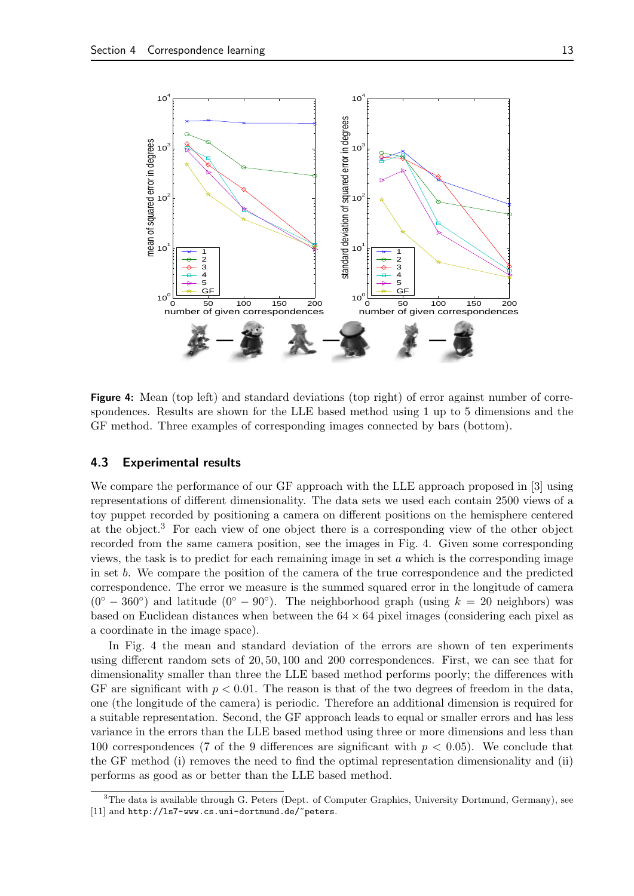

Figure 4: Mean (top left) and standard deviations (top right) of error against number of correspondences. Results are shown for the LLE based method using 1 up to 5 dimensions and the GF method. Three examples of corresponding images connected by bars (bottom).

#### 4.3 Experimental results

We compare the performance of our GF approach with the LLE approach proposed in [3] using representations of different dimensionality. The data sets we used each contain 2500 views of a toy puppet recorded by positioning a camera on different positions on the hemisphere centered at the object.<sup>3</sup> For each view of one object there is a corresponding view of the other object recorded from the same camera position, see the images in Fig. 4. Given some corresponding views, the task is to predict for each remaining image in set  $a$  which is the corresponding image in set b. We compare the position of the camera of the true correspondence and the predicted correspondence. The error we measure is the summed squared error in the longitude of camera  $(0^{\circ} - 360^{\circ})$  and latitude  $(0^{\circ} - 90^{\circ})$ . The neighborhood graph (using  $k = 20$  neighbors) was based on Euclidean distances when between the  $64 \times 64$  pixel images (considering each pixel as a coordinate in the image space).

In Fig. 4 the mean and standard deviation of the errors are shown of ten experiments using different random sets of 20, 50, 100 and 200 correspondences. First, we can see that for dimensionality smaller than three the LLE based method performs poorly; the differences with GF are significant with  $p < 0.01$ . The reason is that of the two degrees of freedom in the data, one (the longitude of the camera) is periodic. Therefore an additional dimension is required for a suitable representation. Second, the GF approach leads to equal or smaller errors and has less variance in the errors than the LLE based method using three or more dimensions and less than 100 correspondences (7 of the 9 differences are significant with  $p < 0.05$ ). We conclude that the GF method (i) removes the need to find the optimal representation dimensionality and (ii) performs as good as or better than the LLE based method.

<sup>&</sup>lt;sup>3</sup>The data is available through G. Peters (Dept. of Computer Graphics, University Dortmund, Germany), see [11] and http://ls7-www.cs.uni-dortmund.de/~peters.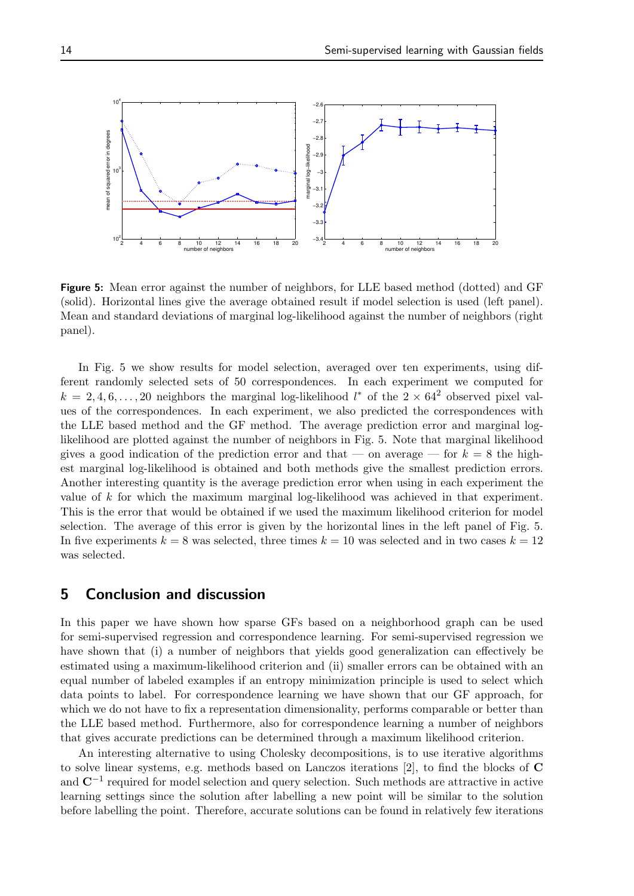![](_page_16_Figure_1.jpeg)

Figure 5: Mean error against the number of neighbors, for LLE based method (dotted) and GF (solid). Horizontal lines give the average obtained result if model selection is used (left panel). Mean and standard deviations of marginal log-likelihood against the number of neighbors (right panel).

In Fig. 5 we show results for model selection, averaged over ten experiments, using different randomly selected sets of 50 correspondences. In each experiment we computed for  $k = 2, 4, 6, \ldots, 20$  neighbors the marginal log-likelihood  $l^*$  of the  $2 \times 64^2$  observed pixel values of the correspondences. In each experiment, we also predicted the correspondences with the LLE based method and the GF method. The average prediction error and marginal loglikelihood are plotted against the number of neighbors in Fig. 5. Note that marginal likelihood gives a good indication of the prediction error and that — on average — for  $k = 8$  the highest marginal log-likelihood is obtained and both methods give the smallest prediction errors. Another interesting quantity is the average prediction error when using in each experiment the value of k for which the maximum marginal log-likelihood was achieved in that experiment. This is the error that would be obtained if we used the maximum likelihood criterion for model selection. The average of this error is given by the horizontal lines in the left panel of Fig. 5. In five experiments  $k = 8$  was selected, three times  $k = 10$  was selected and in two cases  $k = 12$ was selected.

## 5 Conclusion and discussion

In this paper we have shown how sparse GFs based on a neighborhood graph can be used for semi-supervised regression and correspondence learning. For semi-supervised regression we have shown that (i) a number of neighbors that yields good generalization can effectively be estimated using a maximum-likelihood criterion and (ii) smaller errors can be obtained with an equal number of labeled examples if an entropy minimization principle is used to select which data points to label. For correspondence learning we have shown that our GF approach, for which we do not have to fix a representation dimensionality, performs comparable or better than the LLE based method. Furthermore, also for correspondence learning a number of neighbors that gives accurate predictions can be determined through a maximum likelihood criterion.

An interesting alternative to using Cholesky decompositions, is to use iterative algorithms to solve linear systems, e.g. methods based on Lanczos iterations [2], to find the blocks of C and  $\mathbb{C}^{-1}$  required for model selection and query selection. Such methods are attractive in active learning settings since the solution after labelling a new point will be similar to the solution before labelling the point. Therefore, accurate solutions can be found in relatively few iterations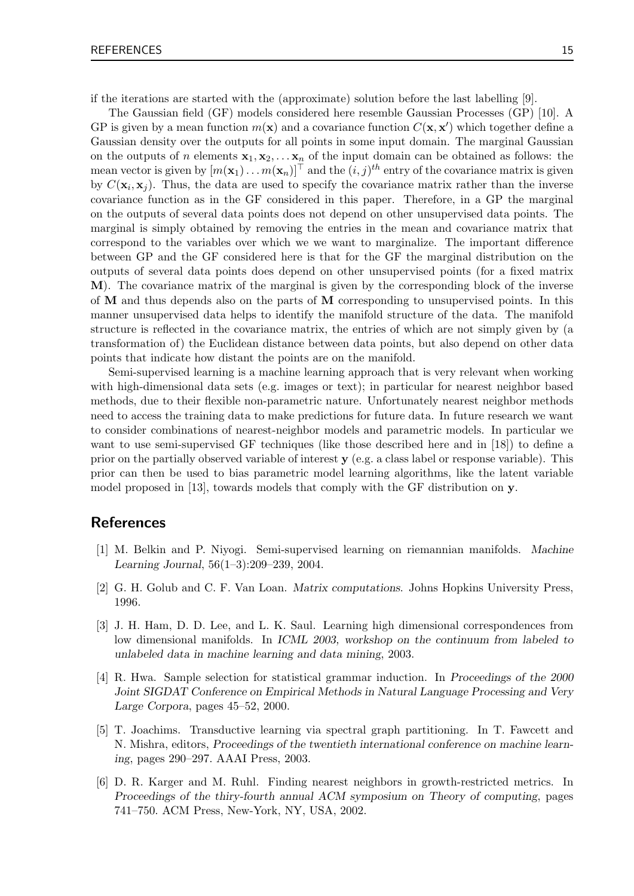if the iterations are started with the (approximate) solution before the last labelling [9].

The Gaussian field (GF) models considered here resemble Gaussian Processes (GP) [10]. A GP is given by a mean function  $m(\mathbf{x})$  and a covariance function  $C(\mathbf{x}, \mathbf{x}')$  which together define a Gaussian density over the outputs for all points in some input domain. The marginal Gaussian on the outputs of n elements  $x_1, x_2, \ldots, x_n$  of the input domain can be obtained as follows: the mean vector is given by  $[m(\mathbf{x}_1) \dots m(\mathbf{x}_n)]^\top$  and the  $(i, j)^{th}$  entry of the covariance matrix is given by  $C(\mathbf{x}_i, \mathbf{x}_j)$ . Thus, the data are used to specify the covariance matrix rather than the inverse covariance function as in the GF considered in this paper. Therefore, in a GP the marginal on the outputs of several data points does not depend on other unsupervised data points. The marginal is simply obtained by removing the entries in the mean and covariance matrix that correspond to the variables over which we we want to marginalize. The important difference between GP and the GF considered here is that for the GF the marginal distribution on the outputs of several data points does depend on other unsupervised points (for a fixed matrix M). The covariance matrix of the marginal is given by the corresponding block of the inverse of M and thus depends also on the parts of M corresponding to unsupervised points. In this manner unsupervised data helps to identify the manifold structure of the data. The manifold structure is reflected in the covariance matrix, the entries of which are not simply given by (a transformation of) the Euclidean distance between data points, but also depend on other data points that indicate how distant the points are on the manifold.

Semi-supervised learning is a machine learning approach that is very relevant when working with high-dimensional data sets (e.g. images or text); in particular for nearest neighbor based methods, due to their flexible non-parametric nature. Unfortunately nearest neighbor methods need to access the training data to make predictions for future data. In future research we want to consider combinations of nearest-neighbor models and parametric models. In particular we want to use semi-supervised GF techniques (like those described here and in [18]) to define a prior on the partially observed variable of interest  $y$  (e.g. a class label or response variable). This prior can then be used to bias parametric model learning algorithms, like the latent variable model proposed in [13], towards models that comply with the GF distribution on y.

## References

- [1] M. Belkin and P. Niyogi. Semi-supervised learning on riemannian manifolds. Machine Learning Journal, 56(1–3):209–239, 2004.
- [2] G. H. Golub and C. F. Van Loan. Matrix computations. Johns Hopkins University Press, 1996.
- [3] J. H. Ham, D. D. Lee, and L. K. Saul. Learning high dimensional correspondences from low dimensional manifolds. In ICML 2003, workshop on the continuum from labeled to unlabeled data in machine learning and data mining, 2003.
- [4] R. Hwa. Sample selection for statistical grammar induction. In Proceedings of the 2000 Joint SIGDAT Conference on Empirical Methods in Natural Language Processing and Very Large Corpora, pages 45–52, 2000.
- [5] T. Joachims. Transductive learning via spectral graph partitioning. In T. Fawcett and N. Mishra, editors, Proceedings of the twentieth international conference on machine learning, pages 290–297. AAAI Press, 2003.
- [6] D. R. Karger and M. Ruhl. Finding nearest neighbors in growth-restricted metrics. In Proceedings of the thiry-fourth annual ACM symposium on Theory of computing, pages 741–750. ACM Press, New-York, NY, USA, 2002.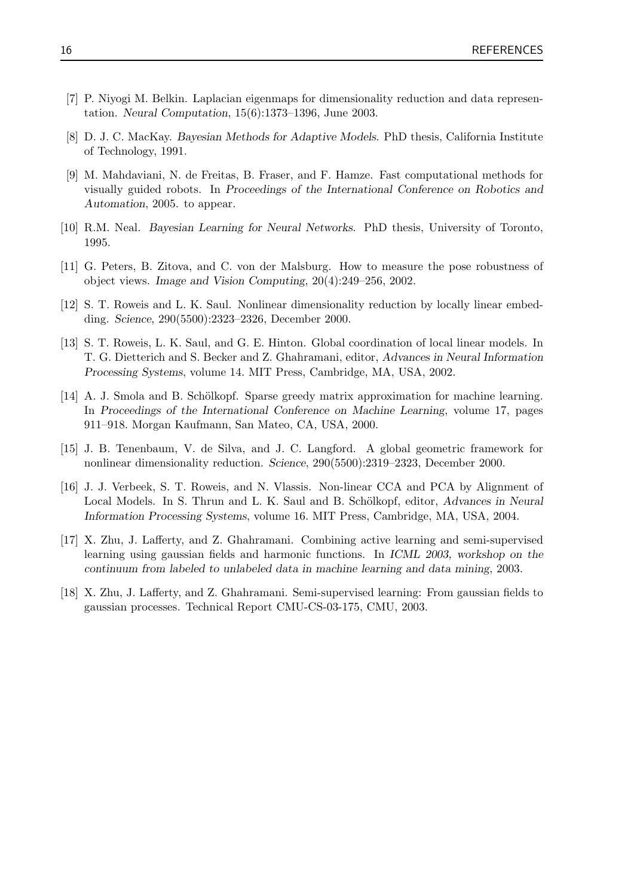- [7] P. Niyogi M. Belkin. Laplacian eigenmaps for dimensionality reduction and data representation. Neural Computation, 15(6):1373–1396, June 2003.
- [8] D. J. C. MacKay. Bayesian Methods for Adaptive Models. PhD thesis, California Institute of Technology, 1991.
- [9] M. Mahdaviani, N. de Freitas, B. Fraser, and F. Hamze. Fast computational methods for visually guided robots. In Proceedings of the International Conference on Robotics and Automation, 2005. to appear.
- [10] R.M. Neal. Bayesian Learning for Neural Networks. PhD thesis, University of Toronto, 1995.
- [11] G. Peters, B. Zitova, and C. von der Malsburg. How to measure the pose robustness of object views. Image and Vision Computing, 20(4):249–256, 2002.
- [12] S. T. Roweis and L. K. Saul. Nonlinear dimensionality reduction by locally linear embedding. Science, 290(5500):2323–2326, December 2000.
- [13] S. T. Roweis, L. K. Saul, and G. E. Hinton. Global coordination of local linear models. In T. G. Dietterich and S. Becker and Z. Ghahramani, editor, Advances in Neural Information Processing Systems, volume 14. MIT Press, Cambridge, MA, USA, 2002.
- [14] A. J. Smola and B. Schölkopf. Sparse greedy matrix approximation for machine learning. In Proceedings of the International Conference on Machine Learning, volume 17, pages 911–918. Morgan Kaufmann, San Mateo, CA, USA, 2000.
- [15] J. B. Tenenbaum, V. de Silva, and J. C. Langford. A global geometric framework for nonlinear dimensionality reduction. Science, 290(5500):2319–2323, December 2000.
- [16] J. J. Verbeek, S. T. Roweis, and N. Vlassis. Non-linear CCA and PCA by Alignment of Local Models. In S. Thrun and L. K. Saul and B. Schölkopf, editor, Advances in Neural Information Processing Systems, volume 16. MIT Press, Cambridge, MA, USA, 2004.
- [17] X. Zhu, J. Lafferty, and Z. Ghahramani. Combining active learning and semi-supervised learning using gaussian fields and harmonic functions. In ICML 2003, workshop on the continuum from labeled to unlabeled data in machine learning and data mining, 2003.
- [18] X. Zhu, J. Lafferty, and Z. Ghahramani. Semi-supervised learning: From gaussian fields to gaussian processes. Technical Report CMU-CS-03-175, CMU, 2003.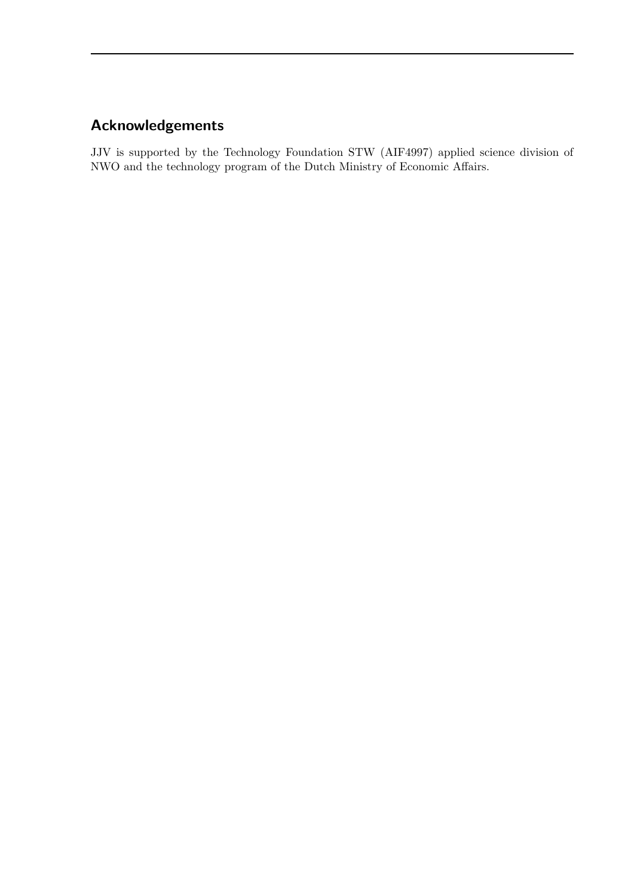## Acknowledgements

JJV is supported by the Technology Foundation STW (AIF4997) applied science division of NWO and the technology program of the Dutch Ministry of Economic Affairs.